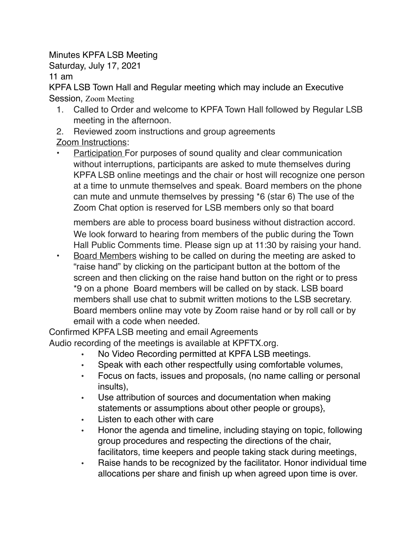Minutes KPFA LSB Meeting

Saturday, July 17, 2021

11 am

KPFA LSB Town Hall and Regular meeting which may include an Executive Session, Zoom Meeting

- 1. Called to Order and welcome to KPFA Town Hall followed by Regular LSB meeting in the afternoon.
- 2. Reviewed zoom instructions and group agreements

Zoom Instructions:

• Participation For purposes of sound quality and clear communication without interruptions, participants are asked to mute themselves during KPFA LSB online meetings and the chair or host will recognize one person at a time to unmute themselves and speak. Board members on the phone can mute and unmute themselves by pressing \*6 (star 6) The use of the Zoom Chat option is reserved for LSB members only so that board

members are able to process board business without distraction accord. We look forward to hearing from members of the public during the Town Hall Public Comments time. Please sign up at 11:30 by raising your hand.

• Board Members wishing to be called on during the meeting are asked to "raise hand" by clicking on the participant button at the bottom of the screen and then clicking on the raise hand button on the right or to press \*9 on a phone Board members will be called on by stack. LSB board members shall use chat to submit written motions to the LSB secretary. Board members online may vote by Zoom raise hand or by roll call or by email with a code when needed.

Confirmed KPFA LSB meeting and email Agreements Audio recording of the meetings is available at KPFTX.org.

- No Video Recording permitted at KPFA LSB meetings.
- Speak with each other respectfully using comfortable volumes,
- Focus on facts, issues and proposals, (no name calling or personal insults),
- Use attribution of sources and documentation when making statements or assumptions about other people or groups},
- Listen to each other with care
- Honor the agenda and timeline, including staying on topic, following group procedures and respecting the directions of the chair, facilitators, time keepers and people taking stack during meetings,
- Raise hands to be recognized by the facilitator. Honor individual time allocations per share and finish up when agreed upon time is over.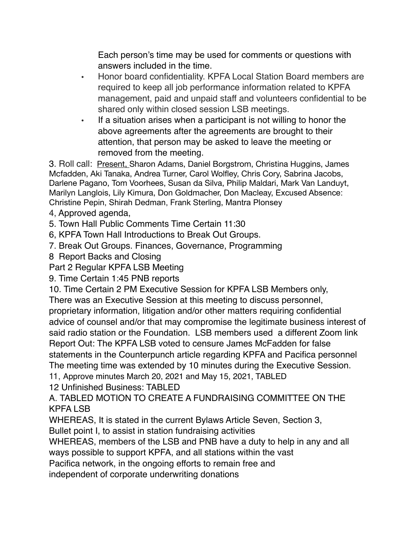Each person's time may be used for comments or questions with answers included in the time.

- Honor board confidentiality. KPFA Local Station Board members are required to keep all job performance information related to KPFA management, paid and unpaid staff and volunteers confidential to be shared only within closed session LSB meetings.
- If a situation arises when a participant is not willing to honor the above agreements after the agreements are brought to their attention, that person may be asked to leave the meeting or removed from the meeting.

3. Roll call: Present, Sharon Adams, Daniel Borgstrom, Christina Huggins, James Mcfadden, Aki Tanaka, Andrea Turner, Carol Wolfley, Chris Cory, Sabrina Jacobs, Darlene Pagano, Tom Voorhees, Susan da Silva, Philip Maldari, Mark Van Landuyt, Marilyn Langlois, Lily Kimura, Don Goldmacher, Don Macleay, Excused Absence: Christine Pepin, Shirah Dedman, Frank Sterling, Mantra Plonsey

- 4, Approved agenda,
- 5. Town Hall Public Comments Time Certain 11:30
- 6, KPFA Town Hall Introductions to Break Out Groups.
- 7. Break Out Groups. Finances, Governance, Programming
- 8 Report Backs and Closing
- Part 2 Regular KPFA LSB Meeting
- 9. Time Certain 1:45 PNB reports

10. Time Certain 2 PM Executive Session for KPFA LSB Members only,

There was an Executive Session at this meeting to discuss personnel, proprietary information, litigation and/or other matters requiring confidential advice of counsel and/or that may compromise the legitimate business interest of said radio station or the Foundation. LSB members used a different Zoom link Report Out: The KPFA LSB voted to censure James McFadden for false statements in the Counterpunch article regarding KPFA and Pacifica personnel The meeting time was extended by 10 minutes during the Executive Session.

11, Approve minutes March 20, 2021 and May 15, 2021, TABLED

12 Unfinished Business: TABLED

A. TABLED MOTION TO CREATE A FUNDRAISING COMMITTEE ON THE KPFA LSB

WHEREAS, It is stated in the current Bylaws Article Seven, Section 3,

Bullet point I, to assist in station fundraising activities

WHEREAS, members of the LSB and PNB have a duty to help in any and all ways possible to support KPFA, and all stations within the vast

Pacifica network, in the ongoing efforts to remain free and

independent of corporate underwriting donations